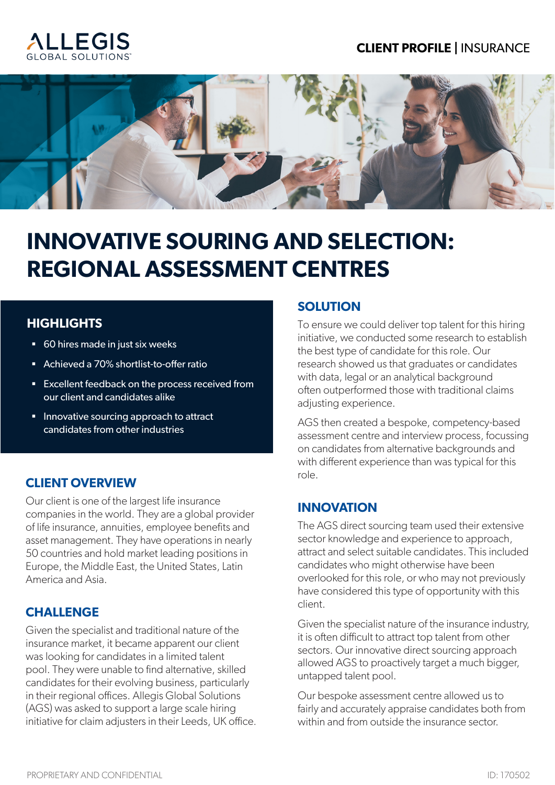#### **CLIENT PROFILE |** INSURANCE





## **INNOVATIVE SOURING AND SELECTION: REGIONAL ASSESSMENT CENTRES**

#### **HIGHLIGHTS**

- 60 hires made in just six weeks
- Achieved a 70% shortlist-to-offer ratio
- Excellent feedback on the process received from our client and candidates alike
- Innovative sourcing approach to attract candidates from other industries

#### **CLIENT OVERVIEW**

Our client is one of the largest life insurance companies in the world. They are a global provider of life insurance, annuities, employee benefits and asset management. They have operations in nearly 50 countries and hold market leading positions in Europe, the Middle East, the United States, Latin America and Asia.

#### **CHALLENGE**

Given the specialist and traditional nature of the insurance market, it became apparent our client was looking for candidates in a limited talent pool. They were unable to find alternative, skilled candidates for their evolving business, particularly in their regional offices. Allegis Global Solutions (AGS) was asked to support a large scale hiring initiative for claim adjusters in their Leeds, UK office.

#### **SOLUTION**

To ensure we could deliver top talent for this hiring initiative, we conducted some research to establish the best type of candidate for this role. Our research showed us that graduates or candidates with data, legal or an analytical background often outperformed those with traditional claims adjusting experience.

AGS then created a bespoke, competency-based assessment centre and interview process, focussing on candidates from alternative backgrounds and with different experience than was typical for this role.

#### **INNOVATION**

The AGS direct sourcing team used their extensive sector knowledge and experience to approach, attract and select suitable candidates. This included candidates who might otherwise have been overlooked for this role, or who may not previously have considered this type of opportunity with this client.

Given the specialist nature of the insurance industry, it is often difficult to attract top talent from other sectors. Our innovative direct sourcing approach allowed AGS to proactively target a much bigger, untapped talent pool.

Our bespoke assessment centre allowed us to fairly and accurately appraise candidates both from within and from outside the insurance sector.